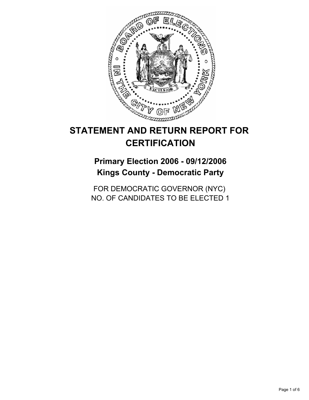

# **STATEMENT AND RETURN REPORT FOR CERTIFICATION**

## **Primary Election 2006 - 09/12/2006 Kings County - Democratic Party**

FOR DEMOCRATIC GOVERNOR (NYC) NO. OF CANDIDATES TO BE ELECTED 1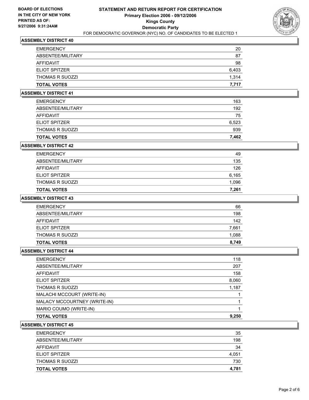

| <b>EMERGENCY</b>     | 20    |
|----------------------|-------|
| ABSENTEE/MILITARY    | 87    |
| AFFIDAVIT            | 98    |
| <b>ELIOT SPITZER</b> | 6,403 |
| THOMAS R SUOZZI      | 1,314 |
| <b>TOTAL VOTES</b>   | 7.717 |

#### **ASSEMBLY DISTRICT 41**

| <b>TOTAL VOTES</b>     | 7,462 |
|------------------------|-------|
| <b>THOMAS R SUOZZI</b> | 939   |
| <b>ELIOT SPITZER</b>   | 6,523 |
| AFFIDAVIT              | 75    |
| ABSENTEE/MILITARY      | 192   |
| <b>EMERGENCY</b>       | 163   |

#### **ASSEMBLY DISTRICT 42**

| <b>EMERGENCY</b>       | 49    |
|------------------------|-------|
| ABSENTEE/MILITARY      | 135   |
| AFFIDAVIT              | 126   |
| ELIOT SPITZER          | 6,165 |
| <b>THOMAS R SUOZZI</b> | 1,096 |
| <b>TOTAL VOTES</b>     | 7,261 |

## **ASSEMBLY DISTRICT 43**

| <b>EMERGENCY</b>       | 66    |
|------------------------|-------|
| ABSENTEE/MILITARY      | 198   |
| AFFIDAVIT              | 142   |
| <b>ELIOT SPITZER</b>   | 7,661 |
| <b>THOMAS R SUOZZI</b> | 1,088 |
| <b>TOTAL VOTES</b>     | 8,749 |

#### **ASSEMBLY DISTRICT 44**

| <b>EMERGENCY</b>             | 118   |
|------------------------------|-------|
| ABSENTEE/MILITARY            | 207   |
| <b>AFFIDAVIT</b>             | 158   |
| ELIOT SPITZER                | 8,060 |
| <b>THOMAS R SUOZZI</b>       | 1,187 |
| MALACHI MCCOURT (WRITE-IN)   |       |
| MALACY MCCOURTNEY (WRITE-IN) |       |
| MARIO COUMO (WRITE-IN)       |       |
| <b>TOTAL VOTES</b>           | 9,250 |
|                              |       |

| <b>TOTAL VOTES</b>     | 4,781 |
|------------------------|-------|
| <b>THOMAS R SUOZZI</b> | 730   |
| <b>ELIOT SPITZER</b>   | 4,051 |
| AFFIDAVIT              | 34    |
| ABSENTEE/MILITARY      | 198   |
| <b>EMERGENCY</b>       | 35    |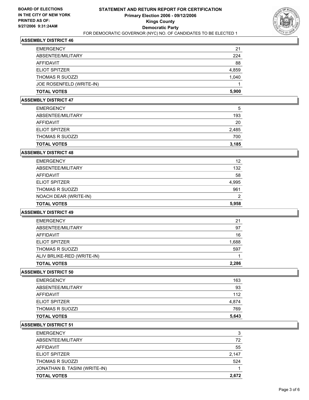

| <b>EMERGENCY</b>         | 21    |
|--------------------------|-------|
| ABSENTEE/MILITARY        | 224   |
| AFFIDAVIT                | 88    |
| <b>ELIOT SPITZER</b>     | 4,859 |
| <b>THOMAS R SUOZZI</b>   | 1,040 |
| JOE ROSENFELD (WRITE-IN) |       |
| <b>TOTAL VOTES</b>       | 5,900 |

#### **ASSEMBLY DISTRICT 47**

| <b>EMERGENCY</b>     | 5     |
|----------------------|-------|
| ABSENTEE/MILITARY    | 193   |
| AFFIDAVIT            | 20    |
| <b>ELIOT SPITZER</b> | 2,485 |
| THOMAS R SUOZZI      | 700   |
| <b>TOTAL VOTES</b>   | 3,185 |

#### **ASSEMBLY DISTRICT 48**

| 12    |
|-------|
| 132   |
| 58    |
| 4,995 |
| 961   |
| 2     |
| 5,958 |
|       |

#### **ASSEMBLY DISTRICT 49**

| <b>EMERGENCY</b>           | 21    |
|----------------------------|-------|
| ABSENTEE/MILITARY          | 97    |
| AFFIDAVIT                  | 16    |
| <b>ELIOT SPITZER</b>       | 1,688 |
| <b>THOMAS R SUOZZI</b>     | 597   |
| ALIV BRLIKE-RED (WRITE-IN) |       |
| <b>TOTAL VOTES</b>         | 2,286 |

#### **ASSEMBLY DISTRICT 50**

| <b>EMERGENCY</b>       | 163   |
|------------------------|-------|
| ABSENTEE/MILITARY      | 93    |
| AFFIDAVIT              | 112   |
| <b>ELIOT SPITZER</b>   | 4,874 |
| <b>THOMAS R SUOZZI</b> | 769   |
| <b>TOTAL VOTES</b>     | 5,643 |

| <b>EMERGENCY</b>              | 3     |
|-------------------------------|-------|
| ABSENTEE/MILITARY             | 72    |
| AFFIDAVIT                     | 55    |
| <b>ELIOT SPITZER</b>          | 2,147 |
| <b>THOMAS R SUOZZI</b>        | 524   |
| JONATHAN B. TASINI (WRITE-IN) |       |
| <b>TOTAL VOTES</b>            | 2,672 |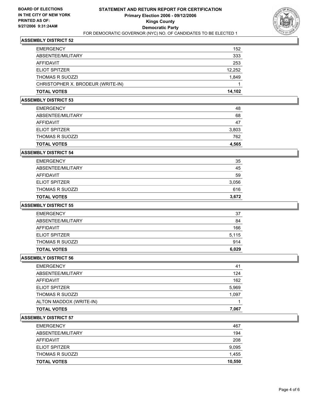

| <b>EMERGENCY</b>                  | 152    |
|-----------------------------------|--------|
| ABSENTEE/MILITARY                 | 333    |
| AFFIDAVIT                         | 253    |
| <b>ELIOT SPITZER</b>              | 12,252 |
| <b>THOMAS R SUOZZI</b>            | 1,849  |
| CHRISTOPHER X. BRODEUR (WRITE-IN) |        |
| <b>TOTAL VOTES</b>                | 14,102 |

#### **ASSEMBLY DISTRICT 53**

| <b>TOTAL VOTES</b>     | 4,565 |
|------------------------|-------|
| <b>THOMAS R SUOZZI</b> | 762   |
| <b>ELIOT SPITZER</b>   | 3,803 |
| AFFIDAVIT              | 47    |
| ABSENTEE/MILITARY      | 68    |
| <b>EMERGENCY</b>       | 48    |

### **ASSEMBLY DISTRICT 54**

| <b>TOTAL VOTES</b>     | 3,672 |
|------------------------|-------|
| <b>THOMAS R SUOZZI</b> | 616   |
| <b>ELIOT SPITZER</b>   | 3,056 |
| AFFIDAVIT              | 59    |
| ABSENTEE/MILITARY      | 45    |
| <b>EMERGENCY</b>       | 35    |

#### **ASSEMBLY DISTRICT 55**

| <b>TOTAL VOTES</b>     | 6,029 |
|------------------------|-------|
| <b>THOMAS R SUOZZI</b> | 914   |
| <b>ELIOT SPITZER</b>   | 5,115 |
| AFFIDAVIT              | 166   |
| ABSENTEE/MILITARY      | 84    |
| <b>EMERGENCY</b>       | 37    |

#### **ASSEMBLY DISTRICT 56**

| 41    |
|-------|
| 124   |
| 162   |
| 5,969 |
| 1,097 |
|       |
| 7,067 |
|       |

| 467    |
|--------|
| 194    |
| 208    |
| 9,095  |
| 1,455  |
| 10,550 |
|        |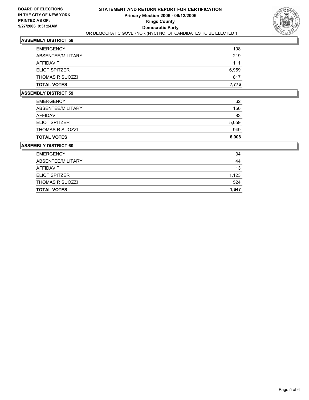

| <b>TOTAL VOTES</b>     | 7,776 |
|------------------------|-------|
| <b>THOMAS R SUOZZI</b> | 817   |
| <b>ELIOT SPITZER</b>   | 6,959 |
| <b>AFFIDAVIT</b>       | 111   |
| ABSENTEE/MILITARY      | 219   |
| <b>EMERGENCY</b>       | 108   |

#### **ASSEMBLY DISTRICT 59**

| <b>TOTAL VOTES</b>     | 6,008 |
|------------------------|-------|
| <b>THOMAS R SUOZZI</b> | 949   |
| ELIOT SPITZER          | 5,059 |
| AFFIDAVIT              | 83    |
| ABSENTEE/MILITARY      | 150   |
| <b>EMERGENCY</b>       | 62    |

| <b>TOTAL VOTES</b>     | 1,647 |
|------------------------|-------|
| <b>THOMAS R SUOZZI</b> | 524   |
| <b>ELIOT SPITZER</b>   | 1,123 |
| AFFIDAVIT              | 13    |
| ABSENTEE/MILITARY      | 44    |
| <b>EMERGENCY</b>       | 34    |